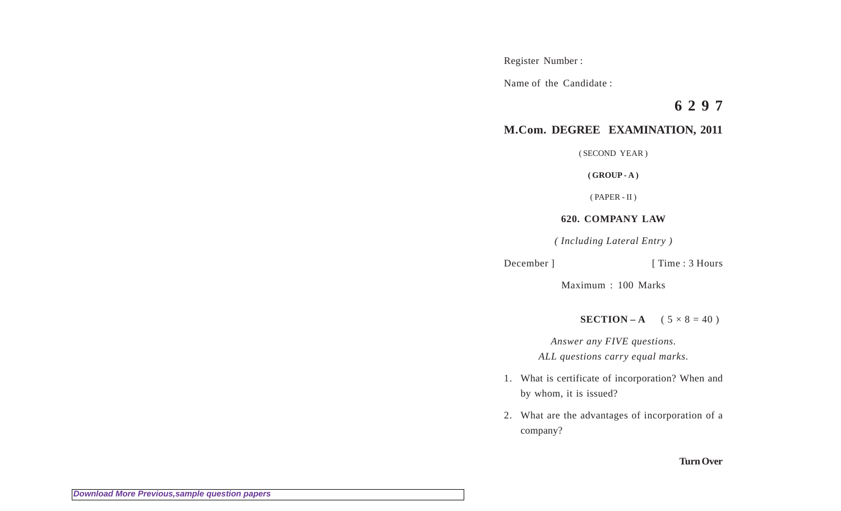Register Number :

Name of the Candidate :

**6 2 9 7**

## **M.Com. DEGREE EXAMINATION, 2011**

( SECOND YEAR )

**( GROUP - A )**

( PAPER - II )

## **620. COMPANY LAW**

*( Including Lateral Entry )*

```
December ] [ Time : 3 Hours
```
Maximum : 100 Marks

**SECTION – A**  $(5 \times 8 = 40)$ 

*Answer any FIVE questions. ALL questions carry equal marks.*

- 1. What is certificate of incorporation? When and by whom, it is issued?
- 2. What are the advantages of incorporation of a company?

**Turn Over**